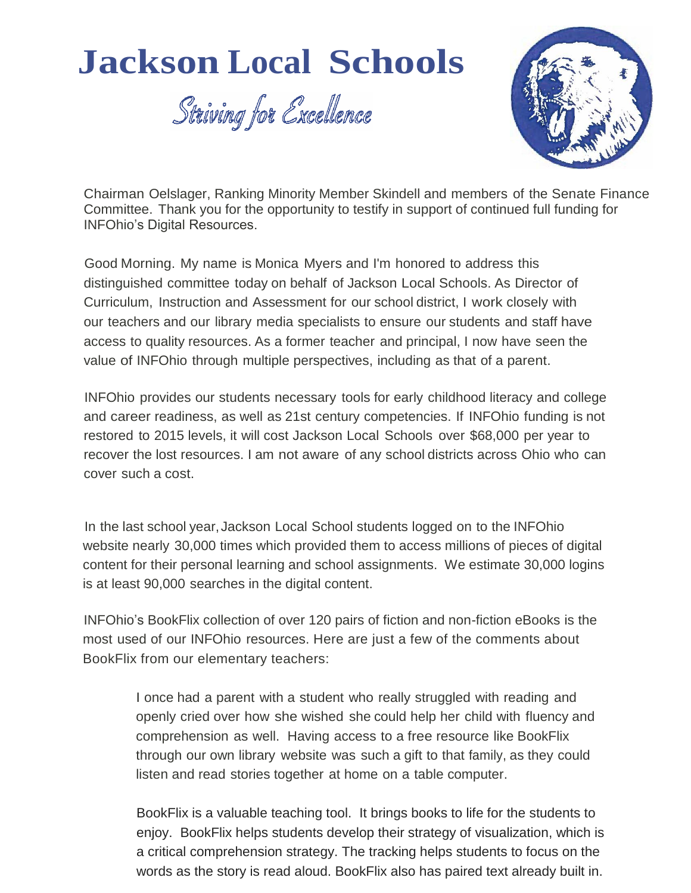## **Jackson Local Schools**

Striving for Excellence



Chairman Oelslager, Ranking Minority Member Skindell and members of the Senate Finance Committee. Thank you for the opportunity to testify in support of continued full funding for INFOhio's Digital Resources.

Good Morning. My name is Monica Myers and I'm honored to address this distinguished committee today on behalf of Jackson Local Schools. As Director of Curriculum, Instruction and Assessment for our school district, I work closely with our teachers and our library media specialists to ensure our students and staff have access to quality resources. As a former teacher and principal, I now have seen the value of INFOhio through multiple perspectives, including as that of a parent.

INFOhio provides our students necessary tools for early childhood literacy and college and career readiness, as well as 21st century competencies. If INFOhio funding is not restored to 2015 levels, it will cost Jackson Local Schools over \$68,000 per year to recover the lost resources. I am not aware of any school districts across Ohio who can cover such a cost.

In the last school year, Jackson Local School students logged on to the INFOhio website nearly 30,000 times which provided them to access millions of pieces of digital content for their personal learning and school assignments. We estimate 30,000 logins is at least 90,000 searches in the digital content.

INFOhio's BookFlix collection of over 120 pairs of fiction and non-fiction eBooks is the most used of our INFOhio resources. Here are just a few of the comments about BookFlix from our elementary teachers:

> I once had a parent with a student who really struggled with reading and openly cried over how she wished she could help her child with fluency and comprehension as well. Having access to a free resource like BookFlix through our own library website was such a gift to that family, as they could listen and read stories together at home on a table computer.

BookFlix is a valuable teaching tool. It brings books to life for the students to enjoy. BookFlix helps students develop their strategy of visualization, which is a critical comprehension strategy. The tracking helps students to focus on the words as the story is read aloud. BookFlix also has paired text already built in.